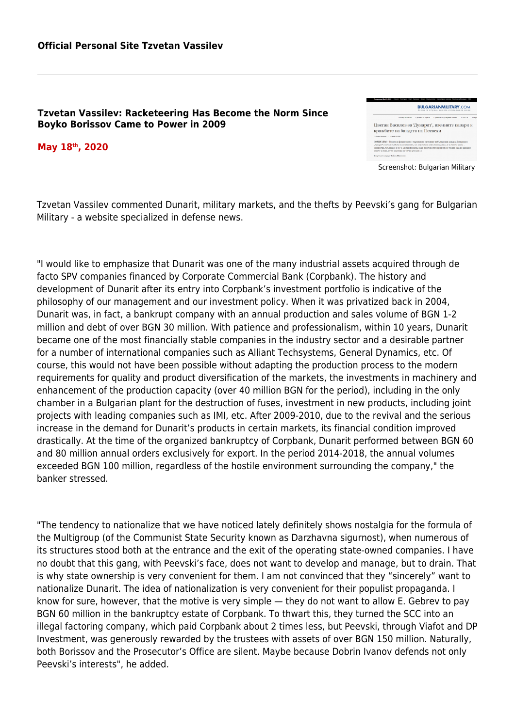## **Tzvetan Vassilev: Racketeering Has Become the Norm Since Boyko Borissov Came to Power in 2009**

**May 18th, 2020**



Screenshot: Bulgarian Military

Tzvetan Vassilev commented Dunarit, military markets, and the thefts by Peevski's gang for Bulgarian Military - a website specialized in defense news.

"I would like to emphasize that Dunarit was one of the many industrial assets acquired through de facto SPV companies financed by Corporate Commercial Bank (Corpbank). The history and development of Dunarit after its entry into Corpbank's investment portfolio is indicative of the philosophy of our management and our investment policy. When it was privatized back in 2004, Dunarit was, in fact, a bankrupt company with an annual production and sales volume of BGN 1-2 million and debt of over BGN 30 million. With patience and professionalism, within 10 years, Dunarit became one of the most financially stable companies in the industry sector and a desirable partner for a number of international companies such as Alliant Techsystems, General Dynamics, etc. Of course, this would not have been possible without adapting the production process to the modern requirements for quality and product diversification of the markets, the investments in machinery and enhancement of the production capacity (over 40 million BGN for the period), including in the only chamber in a Bulgarian plant for the destruction of fuses, investment in new products, including joint projects with leading companies such as IMI, etc. After 2009-2010, due to the revival and the serious increase in the demand for Dunarit's products in certain markets, its financial condition improved drastically. At the time of the organized bankruptcy of Corpbank, Dunarit performed between BGN 60 and 80 million annual orders exclusively for export. In the period 2014-2018, the annual volumes exceeded BGN 100 million, regardless of the hostile environment surrounding the company," the banker stressed.

"The tendency to nationalize that we have noticed lately definitely shows nostalgia for the formula of the Multigroup (of the Communist State Security known as Darzhavna sigurnost), when numerous of its structures stood both at the entrance and the exit of the operating state-owned companies. I have no doubt that this gang, with Peevski's face, does not want to develop and manage, but to drain. That is why state ownership is very convenient for them. I am not convinced that they "sincerely" want to nationalize Dunarit. The idea of nationalization is very convenient for their populist propaganda. I know for sure, however, that the motive is very simple — they do not want to allow E. Gebrev to pay BGN 60 million in the bankruptcy estate of Corpbank. To thwart this, they turned the SCC into an illegal factoring company, which paid Corpbank about 2 times less, but Peevski, through Viafot and DP Investment, was generously rewarded by the trustees with assets of over BGN 150 million. Naturally, both Borissov and the Prosecutor's Office are silent. Maybe because Dobrin Ivanov defends not only Peevski's interests", he added.